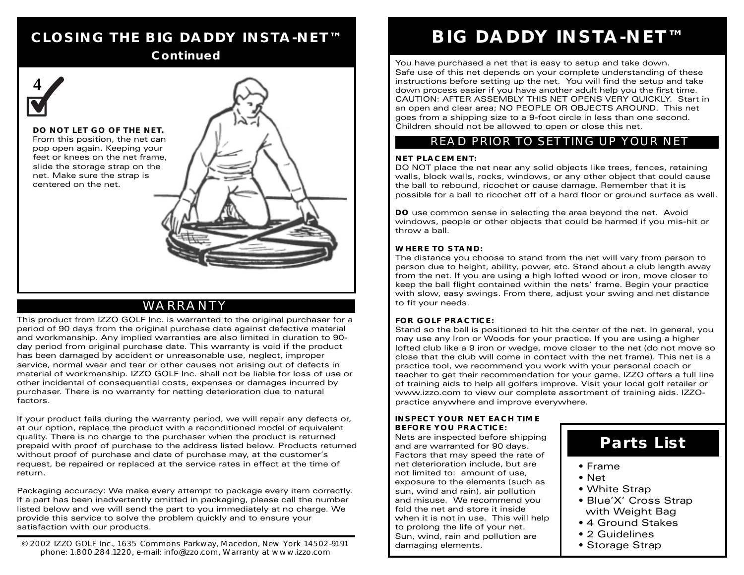## **CLOSING THE BIG DADDY INSTA-NET™**

#### **Continued**



### WARRANTY

This product from IZZO GOLF Inc. is warranted to the original purchaser for a period of 90 days from the original purchase date against defective material and workmanship. Any implied warranties are also limited in duration to 90 day period from original purchase date. This warranty is void if the product has been damaged by accident or unreasonable use, neglect, improper service, normal wear and tear or other causes not arising out of defects in material of workmanship. IZZO GOLF Inc. shall not be liable for loss of use or other incidental of consequential costs, expenses or damages incurred by purchaser. There is no warranty for netting deterioration due to natural factors.

If your product fails during the warranty period, we will repair any defects or, at our option, replace the product with a reconditioned model of equivalent quality. There is no charge to the purchaser when the product is returned prepaid with proof of purchase to the address listed below. Products returned without proof of purchase and date of purchase may, at the customer's request, be repaired or replaced at the service rates in effect at the time of return.

Packaging accuracy: We make every attempt to package every item correctly. If a part has been inadvertently omitted in packaging, please call the number listed below and we will send the part to you immediately at no charge. We provide this service to solve the problem quickly and to ensure your satisfaction with our products.

© 2002 IZZO GOLF Inc., 1635 Commons Parkway, Macedon, New York 14502-9191 phone: 1.800.284.1220, e-mail: info@izzo.com, Warranty at www.izzo.com

## **BIG DADDY INSTA-NET™**

You have purchased a net that is easy to setup and take down. Safe use of this net depends on your complete understanding of these instructions before setting up the net. You will find the setup and take down process easier if you have another adult help you the first time. CAUTION: AFTER ASSEMBLY THIS NET OPENS VERY QUICKLY. Start in an open and clear area; NO PEOPLE OR OBJECTS AROUND. This net goes from a shipping size to a 9-foot circle in less than one second. Children should not be allowed to open or close this net.

#### READ PRIOR TO SETTING UP YOUR NET

#### **NET PLACEMENT:**

DO NOT place the net near any solid objects like trees, fences, retaining walls, block walls, rocks, windows, or any other object that could cause the ball to rebound, ricochet or cause damage. Remember that it is possible for a ball to ricochet off of a hard floor or ground surface as well.

**DO** use common sense in selecting the area beyond the net. Avoid windows, people or other objects that could be harmed if you mis-hit or throw a ball.

#### **WHERE TO STAND:**

The distance you choose to stand from the net will vary from person to person due to height, ability, power, etc. Stand about a club length away from the net. If you are using a high lofted wood or iron, move closer to keep the ball flight contained within the nets' frame. Begin your practice with slow, easy swings. From there, adjust your swing and net distance to fit your needs.

#### **FOR GOLF PRACTICE:**

Stand so the ball is positioned to hit the center of the net. In general, you may use any Iron or Woods for your practice. If you are using a higher lofted club like a 9 iron or wedge, move closer to the net (do not move so close that the club will come in contact with the net frame). This net is a practice tool, we recommend you work with your personal coach or teacher to get their recommendation for your game. IZZO offers a full line of training aids to help all golfers improve. Visit your local golf retailer or www.izzo.com to view our complete assortment of training aids. IZZOpractice anywhere and improve everywhere.

#### **INSPECT YOUR NET EACH TIME BEFORE YOU PRACTICE:**

Nets are inspected before shipping and are warranted for 90 days. Factors that may speed the rate of net deterioration include, but are not limited to: amount of use, exposure to the elements (such as sun, wind and rain), air pollution and misuse. We recommend you fold the net and store it inside when it is not in use. This will help to prolong the life of your net. Sun, wind, rain and pollution are damaging elements.

## **Parts List**

- Frame
- Net
- White Strap
- Blue'X' Cross Strap with Weight Bag
- 4 Ground Stakes
- 2 Guidelines
- Storage Strap